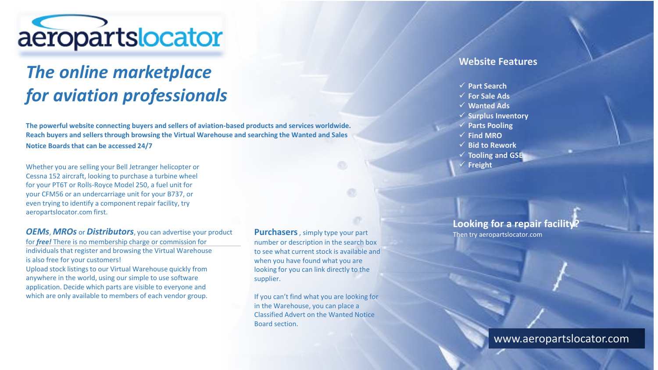

## *The online marketplace for aviation professionals*

**The powerful website connecting buyers and sellers of aviation-based products and services worldwide. Reach buyers and sellers through browsing the Virtual Warehouse and searching the Wanted and Sales Notice Boards that can be accessed 24/7**

Whether you are selling your Bell Jetranger helicopter or Cessna 152 aircraft, looking to purchase a turbine wheel for your PT6T or Rolls-Royce Model 250, a fuel unit for your CFM56 or an undercarriage unit for your B737, or even trying to identify a component repair facility, try aeropartslocator.com first.

*OEMs*, *MROs* or *Distributors*, you can advertise your product for *free!* There is no membership charge or commission for individuals that register and browsing the Virtual Warehouse is also free for your customers!

Upload stock listings to our Virtual Warehouse quickly from anywhere in the world, using our simple to use software application. Decide which parts are visible to everyone and which are only available to members of each vendor group.

**Purchasers**, simply type your part number or description in the search box to see what current stock is available and when you have found what you are looking for you can link directly to the supplier.

If you can't find what you are looking for in the Warehouse, you can place a Classified Advert on the Wanted Notice Board section.

## **Website Features**

- ✓ **Part Search**
- ✓ **For Sale Ads**
- ✓ **Wanted Ads**
- ✓ **Surplus Inventory**
- ✓ **Parts Pooling**
- ✓ **Find MRO**
- ✓ **Bid to Rework**
- ✓ **Tooling and GSE**
- ✓ **Freight**

**Looking for a repair facility** Then try aeropartslocator.com

## www.aeropartslocator.com